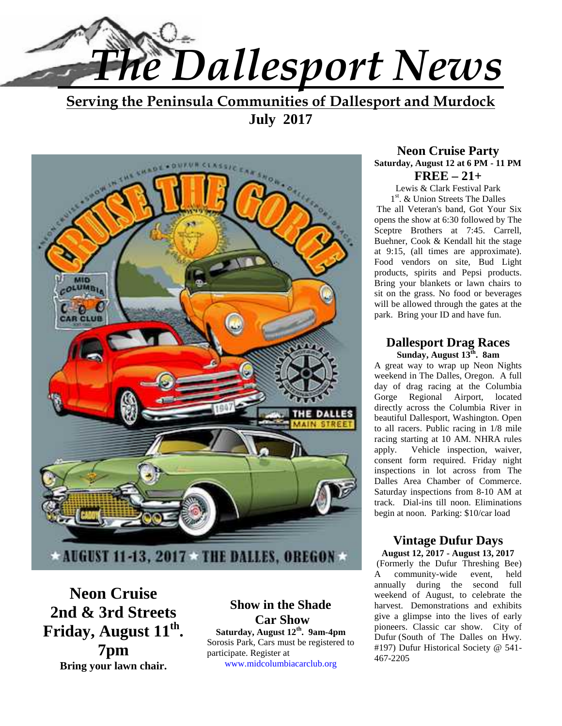

**Serving the Peninsula Communities of Dallesport and Murdock July 2017**



**Neon Cruise 2nd & 3rd Streets Friday, August 11th . 7pm Bring your lawn chair.**

**Show in the Shade Car Show Saturday, August 12th . 9am-4pm** Sorosis Park, Cars must be registered to participate. Register at www.midcolumbiacarclub.org

#### **Neon Cruise Party Saturday, August 12 at 6 PM - 11 PM FREE – 21+**

Lewis & Clark Festival Park 1 st. & Union Streets The Dalles The all Veteran's band, Got Your Six opens the show at 6:30 followed by The Sceptre Brothers at 7:45. Carrell, Buehner, Cook & Kendall hit the stage at 9:15, (all times are approximate). Food vendors on site, Bud Light products, spirits and Pepsi products. Bring your blankets or lawn chairs to sit on the grass. No food or beverages will be allowed through the gates at the park. Bring your ID and have fun.

#### **Dallesport Drag Races Sunday, August 13th . 8am**

A great way to wrap up Neon Nights weekend in The Dalles, Oregon. A full day of drag racing at the Columbia Gorge Regional Airport, located directly across the Columbia River in beautiful Dallesport, Washington. Open to all racers. Public racing in 1/8 mile racing starting at 10 AM. NHRA rules apply. Vehicle inspection, waiver, consent form required. Friday night inspections in lot across from The Dalles Area Chamber of Commerce. Saturday inspections from 8-10 AM at track. Dial-ins till noon. Eliminations begin at noon. Parking: \$10/car load

#### **Vintage Dufur Days August 12, 2017 - August 13, 2017**

 (Formerly the Dufur Threshing Bee) A community-wide event, held annually during the second full weekend of August, to celebrate the harvest. Demonstrations and exhibits give a glimpse into the lives of early pioneers. Classic car show. City of Dufur (South of The Dalles on Hwy. #197) Dufur Historical Society @ 541- 467-2205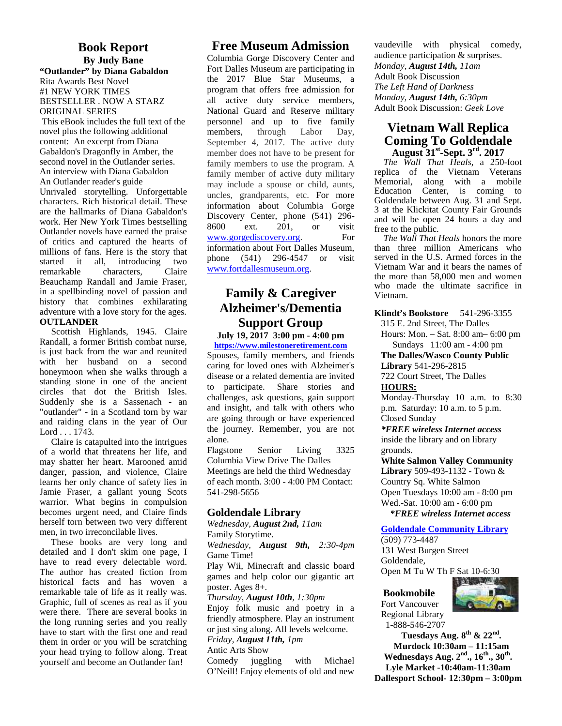#### **Book Report By Judy Bane "Outlander" by Diana Gabaldon**

Rita Awards Best Novel #1 NEW YORK TIMES BESTSELLER . NOW A STARZ ORIGINAL SERIES

This eBook includes the full text of the novel plus the following additional content: An excerpt from Diana Gabaldon's Dragonfly in Amber, the second novel in the Outlander series. An interview with Diana Gabaldon An Outlander reader's guide Unrivaled storytelling. Unforgettable characters. Rich historical detail. These are the hallmarks of Diana Gabaldon's work. Her New York Times bestselling B600 Outlander novels have earned the praise of critics and captured the hearts of millions of fans. Here is the story that<br>started it all. introducing two started it all, introducing two remarkable characters, Claire Beauchamp Randall and Jamie Fraser, in a spellbinding novel of passion and history that combines exhilarating adventure with a love story for the ages. **OUTLANDER**

Scottish Highlands, 1945. Claire Randall, a former British combat nurse, is just back from the war and reunited with her husband on a second honeymoon when she walks through a standing stone in one of the ancient circles that dot the British Isles. Suddenly she is a Sassenach - an "outlander" - in a Scotland torn by war and raiding clans in the year of Our Lord . . . 1743.

Claire is catapulted into the intrigues of a world that threatens her life, and may shatter her heart. Marooned amid danger, passion, and violence, Claire learns her only chance of safety lies in Jamie Fraser, a gallant young Scots warrior. What begins in compulsion becomes urgent need, and Claire finds herself torn between two very different men, in two irreconcilable lives.

These books are very long and detailed and I don't skim one page, I have to read every delectable word. The author has created fiction from historical facts and has woven a remarkable tale of life as it really was. Graphic, full of scenes as real as if you were there. There are several books in the long running series and you really have to start with the first one and read them in order or you will be scratching your head trying to follow along. Treat Antic Art<br>vourself and become an Outlander fan! Comedy yourself and become an Outlander fan!

#### **Free Museum Admission**

Columbia Gorge Discovery Center and Fort Dalles Museum are participating in the 2017 Blue Star Museums, a program that offers free admission for all active duty service members, National Guard and Reserve military personnel and up to five family members, through Labor Day, September 4, 2017. The active duty member does not have to be present for family members to use the program. A family member of active duty military may include a spouse or child, aunts, uncles, grandparents, etc. For more information about Columbia Gorge Discovery Center, phone (541) 296- 8600 ext. 201, or visit www.gorgediscovery.org. For information about Fort Dalles Museum, phone (541) 296-4547 or visit www.fortdallesmuseum.org.

#### **Family & Caregiver Alzheimer's/Dementia Support Group**

**July 19, 2017 3:00 pm - 4:00 pm**

**https://www.milestoneretirement.com** Spouses, family members, and friends caring for loved ones with Alzheimer's disease or a related dementia are invited to participate. Share stories and challenges, ask questions, gain support and insight, and talk with others who are going through or have experienced the journey. Remember, you are not alone.

Flagstone Senior Living 3325 Columbia View Drive The Dalles Meetings are held the third Wednesday of each month. 3:00 - 4:00 PM Contact: 541-298-5656

#### **Goldendale Library**

*Wednesday, August 2nd, 11am* Family Storytime.

*Wednesday, August 9th, 2:30-4pm* Game Time!

Play Wii, Minecraft and classic board games and help color our gigantic art poster. Ages 8+.

*Thursday, August 10th, 1:30pm*

Enjoy folk music and poetry in a friendly atmosphere. Play an instrument or just sing along. All levels welcome.

#### *Friday, August 11th, 1pm* Antic Arts Show

juggling with Michael O'Neill! Enjoy elements of old and new vaudeville with physical comedy, audience participation & surprises. *Monday, August 14th, 11am* Adult Book Discussion *The Left Hand of Darkness Monday, August 14th, 6:30pm* Adult Book Discussion: *Geek Love*

#### **Vietnam Wall Replica Coming To Goldendale August 31st-Sept. 3rd. 2017**

*The Wall That Heals*, a 250-foot replica of the Vietnam Veterans Memorial, along with a mobile Education Center, is coming to Goldendale between Aug. 31 and Sept. 3 at the Klickitat County Fair Grounds and will be open 24 hours a day and free to the public.

*The Wall That Heals* honors the more than three million Americans who served in the U.S. Armed forces in the Vietnam War and it bears the names of the more than 58,000 men and women who made the ultimate sacrifice in Vietnam.

**Klindt's Bookstore** 541-296-3355

315 E. 2nd Street, The Dalles

Hours: Mon. – Sat. 8:00 am– 6:00 pm Sundays 11:00 am - 4:00 pm

**The Dalles/Wasco County Public Library** 541-296-2815

722 Court Street, The Dalles **HOURS:**

Monday-Thursday 10 a.m. to 8:30 p.m. Saturday: 10 a.m. to 5 p.m. Closed Sunday

*\*FREE wireless Internet access* inside the library and on library grounds.

**White Salmon Valley Community Library** 509-493-1132 - Town & Country Sq. White Salmon Open Tuesdays 10:00 am - 8:00 pm Wed.-Sat. 10:00 am - 6:00 pm  *\*FREE wireless Internet access*

#### **Goldendale Community Library**

(509) 773-4487 131 West Burgen Street Goldendale, Open M Tu W Th F Sat 10-6:30

**Bookmobile**



Fort Vancouver Regional Library 1-888-546-2707

**Tuesdays Aug. 8 th & 22 nd . Murdock 10:30am – 11:15am Wednesdays Aug. 2nd., 16th., 30th . Lyle Market -10:40am-11:30am Dallesport School- 12:30pm – 3:00pm**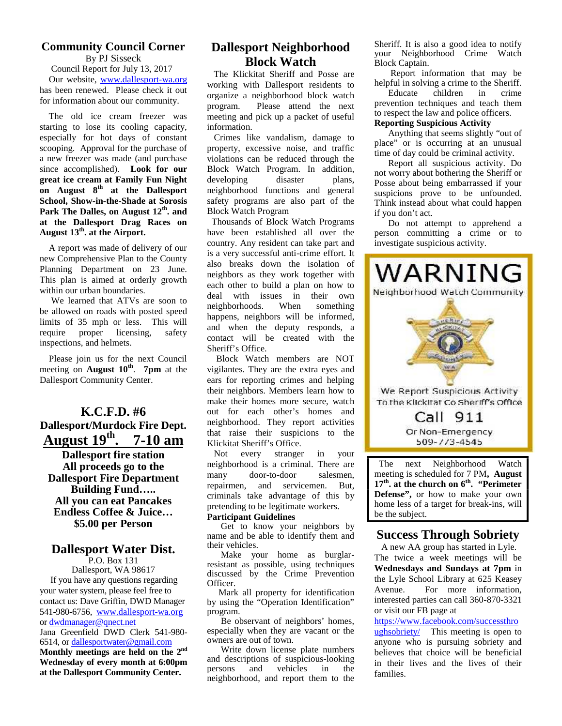#### **Community Council Corner** By PJ Sisseck

Council Report for July 13, 2017 Our website, www.dallesport-wa.org has been renewed. Please check it out for information about our community.

The old ice cream freezer was starting to lose its cooling capacity, especially for hot days of constant scooping. Approval for the purchase of a new freezer was made (and purchase since accomplished). **Look for our great ice cream at Family Fun Night on August 8th at the Dallesport School, Show-in-the-Shade at Sorosis Park The Dalles, on August 12th . and at the Dallesport Drag Races on August 13th. at the Airport.**

A report was made of delivery of our new Comprehensive Plan to the County Planning Department on 23 June. This plan is aimed at orderly growth within our urban boundaries.

We learned that ATVs are soon to be allowed on roads with posted speed limits of 35 mph or less. This will require proper licensing, safety inspections, and helmets.

 Please join us for the next Council meeting on **August 10th** . **7pm** at the Dallesport Community Center.

# **K.C.F.D. #6 Dallesport/Murdock Fire Dept. August 19th . 7-10 am**

**Dallesport fire station All proceeds go to the Dallesport Fire Department Building Fund….. All you can eat Pancakes Endless Coffee & Juice… \$5.00 per Person**

# **Dallesport Water Dist.**

P.O. Box 131 Dallesport, WA 98617 If you have any questions regarding your water system, please feel free to contact us: Dave Griffin, DWD Manager 541-980-6756, www.dallesport-wa.org or dwdmanager@qnect.net Jana Greenfield DWD Clerk 541-980- 6514, or dallesportwater@gmail.com **Monthly meetings are held on the 2nd Wednesday of every month at 6:00pm** and descriptions at the Dellegnert Community Contor persons and **at the Dallesport Community Center.**

#### **Dallesport Neighborhood Block Watch**

 The Klickitat Sheriff and Posse are working with Dallesport residents to helpful in sol<br>organize a neighborhood block watch Educate organize a neighborhood block watch program. Please attend the next meeting and pick up a packet of useful information.

 Crimes like vandalism, damage to property, excessive noise, and traffic violations can be reduced through the Block Watch Program. In addition, developing disaster plans, neighborhood functions and general safety programs are also part of the Block Watch Program

 Thousands of Block Watch Programs have been established all over the country. Any resident can take part and is a very successful anti-crime effort. It neighbors as they work together with deal with issues in their own neighborhoods. When something happens, neighbors will be informed, and when the deputy responds, a contact will be created with the Sheriff's Office.

 Block Watch members are NOT vigilantes. They are the extra eyes and their neighbors. Members learn how to out for each other's homes and neighborhood. They report activities that raise their suspicions to the Klickitat Sheriff's Office.

 Not every stranger in your neighborhood is a criminal. There are many door-to-door salesmen, repairmen, and servicemen. But, criminals take advantage of this by pretending to be legitimate workers. **Participant Guidelines**

Get to know your neighbors by name and be able to identify them and their vehicles.

Make your home as burglarresistant as possible, using techniques discussed by the Crime Prevention Officer.

Mark all property for identification Avenue. by using the "Operation Identification" program.

Be observant of neighbors' homes, especially when they are vacant or the owners are out of town.

Write down license plate numbers and descriptions of suspicious-looking vehicles in the neighborhood, and report them to the

Sheriff. It is also a good idea to notify your Neighborhood Crime Watch Block Captain.

Report information that may be helpful in solving a crime to the Sheriff.<br>Educate children in crime

children prevention techniques and teach them to respect the law and police officers.

#### **Reporting Suspicious Activity**

Anything that seems slightly "out of place" or is occurring at an unusual time of day could be criminal activity.

Report all suspicious activity. Do not worry about bothering the Sheriff or Posse about being embarrassed if your suspicions prove to be unfounded. Think instead about what could happen if you don't act.

Do not attempt to apprehend a person committing a crime or to investigate suspicious activity.



next Neighborhood Watch meeting is scheduled for 7 PM**, August 17th. at the church on 6th. "Perimeter Defense",** or how to make your own home less of a target for break-ins, will be the subject.

#### **Success Through Sobriety**

A new AA group has started in Lyle. The twice a week meetings will be **Wednesdays and Sundays at 7pm** in the Lyle School Library at 625 Keasey For more information, interested parties can call 360-870-3321 or visit our FB page at

https://www.facebook.com/successthro ughsobriety/ This meeting is open to anyone who is pursuing sobriety and believes that choice will be beneficial in their lives and the lives of their families.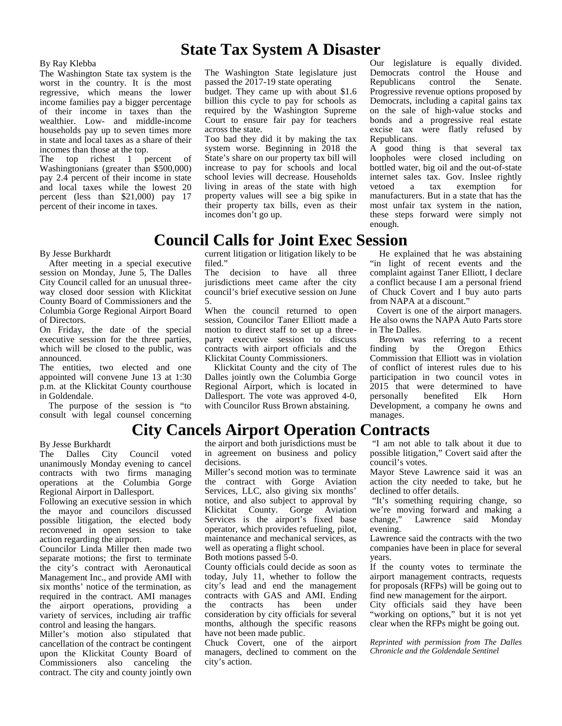# **State Tax System A Disaster**

#### By Ray Klebba

The Washington State tax system is the worst in the country. It is the most regressive, which means the lower income families pay a bigger percentage of their income in taxes than the wealthier. Low- and middle-income households pay up to seven times more in state and local taxes as a share of their incomes than those at the top.

The top richest 1 percent of Washingtonians (greater than \$500,000) pay 2.4 percent of their income in state and local taxes while the lowest 20 percent (less than \$21,000) pay 17 percent of their income in taxes.

The Washington State legislature just passed the 2017-19 state operating

budget. They came up with about \$1.6 billion this cycle to pay for schools as required by the Washington Supreme Court to ensure fair pay for teachers across the state.

Too bad they did it by making the tax system worse. Beginning in 2018 the State's share on our property tax bill will increase to pay for schools and local school levies will decrease. Households living in areas of the state with high property values will see a big spike in their property tax bills, even as their incomes don't go up.

Our legislature is equally divided. Democrats control the House and Republicans control the Senate. Progressive revenue options proposed by Democrats, including a capital gains tax on the sale of high-value stocks and bonds and a progressive real estate excise tax were flatly refused by Republicans.

A good thing is that several tax loopholes were closed including on bottled water, big oil and the out-of-state internet sales tax. Gov. Inslee rightly a tax exemption for manufacturers. But in a state that has the most unfair tax system in the nation, these steps forward were simply not enough.

He explained that he was abstaining "in light of recent events and the complaint against Taner Elliott, I declare a conflict because I am a personal friend of Chuck Covert and I buy auto parts

Covert is one of the airport managers. He also owns the NAPA Auto Parts store

Brown was referring to a recent finding by the Oregon Ethics Commission that Elliott was in violation of conflict of interest rules due to his participation in two council votes in 2015 that were determined to have

benefited Elk Horn

from NAPA at a discount."

in The Dalles.

manages.

# **Council Calls for Joint Exec Session**

#### By Jesse Burkhardt

After meeting in a special executive session on Monday, June 5, The Dalles The City Council called for an unusual three way closed door session with Klickitat County Board of Commissioners and the Columbia Gorge Regional Airport Board of Directors.

On Friday, the date of the special executive session for the three parties, which will be closed to the public, was announced.

The entities, two elected and one appointed will convene June 13 at 1:30 p.m. at the Klickitat County courthouse in Goldendale.

The purpose of the session is "to consult with legal counsel concerning current litigation or litigation likely to be filed."

decision to have all three jurisdictions meet came after the city council's brief executive session on June 5.

When the council returned to open session, Councilor Taner Elliott made a motion to direct staff to set up a three party executive session to discuss contracts with airport officials and the Klickitat County Commissioners.

Klickitat County and the city of The Dalles jointly own the Columbia Gorge Regional Airport, which is located in Dallesport. The vote was approved 4-0, personally with Councilor Russ Brown abstaining.

# **City Cancels Airport Operation Contracts**

By Jesse Burkhardt

The Dalles City Council voted unanimously Monday evening to cancel contracts with two firms managing operations at the Columbia Gorge Regional Airport in Dallesport.

Following an executive session in which the mayor and councilors discussed possible litigation, the elected body reconvened in open session to take action regarding the airport.

Councilor Linda Miller then made two separate motions; the first to terminate the city's contract with Aeronautical Management Inc., and provide AMI with six months' notice of the termination, as required in the contract. AMI manages con the airport operations, providing a variety of services, including air traffic control and leasing the hangars.

Miller's motion also stipulated that cancellation of the contract be contingent upon the Klickitat County Board of Commissioners also canceling the contract. The city and county jointly own the airport and both jurisdictions must be in agreement on business and policy decisions.

Miller's second motion was to terminate the contract with Gorge Aviation Services, LLC, also giving six months' notice, and also subject to approval by Klickitat County. Gorge Aviation Services is the airport's fixed base operator, which provides refueling, pilot, maintenance and mechanical services, as well as operating a flight school. Both motions passed 5-0.

County officials could decide as soon as today, July 11, whether to follow the city's lead and end the management contracts with GAS and AMI. Ending contracts consideration by city officials for several months, although the specific reasons have not been made public.

Chuck Covert, one of the airport managers, declined to comment on the city's action.

 "I am not able to talk about it due to possible litigation," Covert said after the council's votes.

Development, a company he owns and

Mayor Steve Lawrence said it was an action the city needed to take, but he declined to offer details.

 "It's something requiring change, so we're moving forward and making a change," Lawrence said Monday evening.

Lawrence said the contracts with the two companies have been in place for several years.

If the county votes to terminate the airport management contracts, requests for proposals (RFPs) will be going out to find new management for the airport.

City officials said they have been "working on options," but it is not yet clear when the RFPs might be going out.

*Reprinted with permission from The Dalles Chronicle and the Goldendale Sentinel*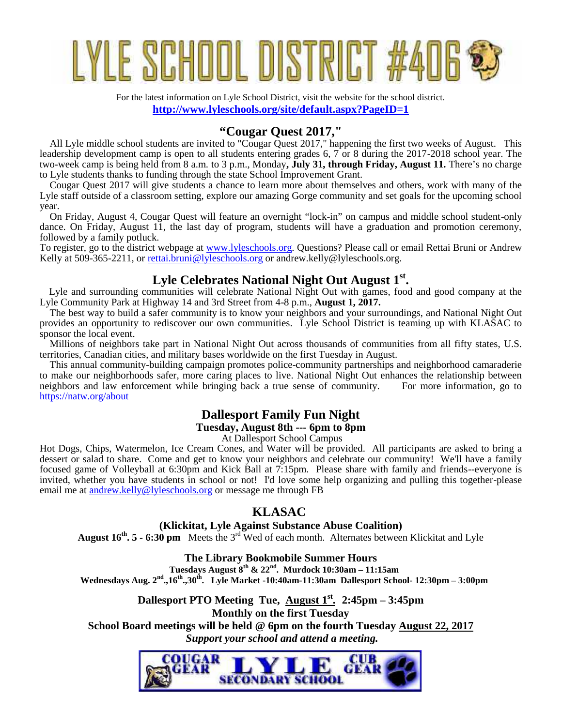# YLE SCHOOL DISTRICT

For the latest information on Lyle School District, visit the website for the school district. **http://www.lyleschools.org/site/default.aspx?PageID=1**

### **"Cougar Quest 2017,"**

 All Lyle middle school students are invited to "Cougar Quest 2017," happening the first two weeks of August. This leadership development camp is open to all students entering grades 6, 7 or 8 during the 2017-2018 school year. The two-week camp is being held from 8 a.m. to 3 p.m., Monday**, July 31, through Friday, August 11.** There's no charge to Lyle students thanks to funding through the state School Improvement Grant.

 Cougar Quest 2017 will give students a chance to learn more about themselves and others, work with many of the Lyle staff outside of a classroom setting, explore our amazing Gorge community and set goals for the upcoming school year.

 On Friday, August 4, Cougar Quest will feature an overnight "lock-in" on campus and middle school student-only dance. On Friday, August 11, the last day of program, students will have a graduation and promotion ceremony, followed by a family potluck.

To register, go to the district webpage at www.lyleschools.org. Questions? Please call or email Rettai Bruni or Andrew Kelly at 509-365-2211, or rettai.bruni@lyleschools.org or andrew.kelly@lyleschools.org.

#### **Lyle Celebrates National Night Out August 1st.**

 Lyle and surrounding communities will celebrate National Night Out with games, food and good company at the Lyle Community Park at Highway 14 and 3rd Street from 4-8 p.m., **August 1, 2017.**

 The best way to build a safer community is to know your neighbors and your surroundings, and National Night Out provides an opportunity to rediscover our own communities. Lyle School District is teaming up with KLASAC to sponsor the local event.

 Millions of neighbors take part in National Night Out across thousands of communities from all fifty states, U.S. territories, Canadian cities, and military bases worldwide on the first Tuesday in August.

 This annual community-building campaign promotes police-community partnerships and neighborhood camaraderie to make our neighborhoods safer, more caring places to live. National Night Out enhances the relationship between neighbors and law enforcement while bringing back a true sense of community. For more information, go to neighbors and law enforcement while bringing back a true sense of community. https://natw.org/about

#### **Dallesport Family Fun Night**

#### **Tuesday, August 8th --- 6pm to 8pm**

At Dallesport School Campus

Hot Dogs, Chips, Watermelon, Ice Cream Cones, and Water will be provided. All participants are asked to bring a dessert or salad to share. Come and get to know your neighbors and celebrate our community! We'll have a family focused game of Volleyball at 6:30pm and Kick Ball at 7:15pm. Please share with family and friends--everyone is invited, whether you have students in school or not! I'd love some help organizing and pulling this together-please email me at andrew.kelly@lyleschools.org or message me through FB

#### **KLASAC**

#### **(Klickitat, Lyle Against Substance Abuse Coalition)**

**August 16th. 5 - 6:30 pm** Meets the 3rd Wed of each month. Alternates between Klickitat and Lyle

**The Library Bookmobile Summer Hours**

**Tuesdays August 8th & 22nd. Murdock 10:30am – 11:15am**

**Wednesdays Aug. 2nd.,16th.,30th. Lyle Market -10:40am-11:30am Dallesport School- 12:30pm – 3:00pm**

**Dallesport PTO Meeting Tue, August 1st. 2:45pm – 3:45pm Monthly on the first Tuesday School Board meetings will be held @ 6pm on the fourth Tuesday August 22, 2017**  *Support your school and attend a meeting.*

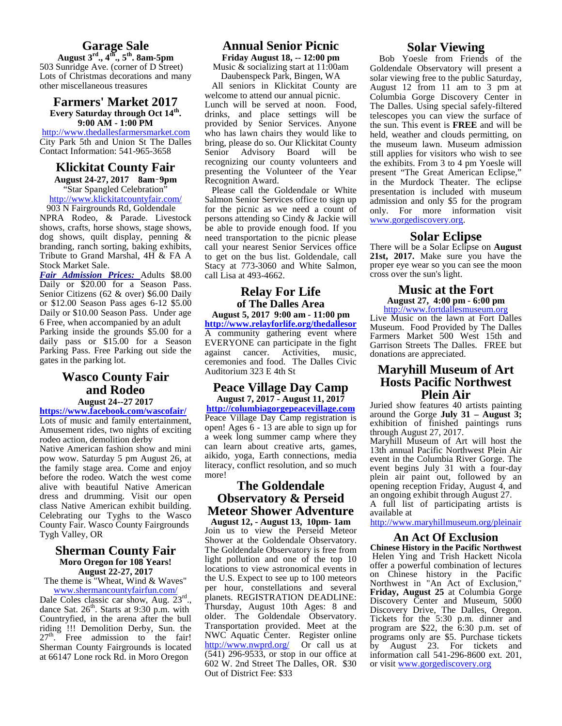#### **Garage Sale**

**August 3rd., 4th., 5th. 8am-5pm** 503 Sunridge Ave. (corner of D Street) Lots of Christmas decorations and many other miscellaneous treasures

#### **Farmers' Market 2017 Every Saturday through Oct 14th . 9:00 AM - 1:00 PM**

http://www.thedallesfarmersmarket.com City Park 5th and Union St The Dalles Contact Information: 541-965-3658

#### **Klickitat County Fair**

**August 24-27, 2017 8am‑9pm** "Star Spangled Celebration" http://www.klickitatcountyfair.com/

903 N Fairgrounds Rd, Goldendale NPRA Rodeo, & Parade. Livestock shows, crafts, horse shows, stage shows, dog shows, quilt display, penning & branding, ranch sorting, baking exhibits, Tribute to Grand Marshal, 4H & FA A Stock Market Sale.

*Fair Admission Prices:* Adults \$8.00 Daily or \$20.00 for a Season Pass. Senior Citizens (62 & over) \$6.00 Daily or \$12.00 Season Pass ages 6-12 \$5.00 Daily or \$10.00 Season Pass. Under age 6 Free, when accompanied by an adult Parking inside the grounds \$5.00 for a daily pass or \$15.00 for a Season Parking Pass. Free Parking out side the gates in the parking lot.

#### **Wasco County Fair and Rodeo August 24--27 2017**

**https://www.facebook.com/wascofair/** Lots of music and family entertainment, Amusement rides, two nights of exciting rodeo action, demolition derby Native American fashion show and mini pow wow. Saturday 5 pm August 26, at the family stage area. Come and enjoy before the rodeo. Watch the west come alive with beautiful Native American dress and drumming. Visit our open class Native American exhibit building. Celebrating our Tyghs to the Wasco County Fair. Wasco County Fairgrounds Tygh Valley, OR

#### **Sherman County Fair Moro Oregon for 108 Years! August 22-27, 2017**

The theme is "Wheat, Wind & Waves" www.shermancountyfairfun.com/

Dale Coles classic car show, Aug. 23rd. dance Sat. 26<sup>th</sup>. Starts at 9:30 p.m. with Countryfied, in the arena after the bull riding !!! Demolition Derby, Sun. the  $27<sup>th</sup>$ . Free admission to the fair! N Sherman County Fairgrounds is located at 66147 Lone rock Rd. in Moro Oregon

#### **Annual Senior Picnic**

**Friday August 18, -- 12:00 pm** Music & socializing start at 11:00am

Daubenspeck Park, Bingen, WA All seniors in Klickitat County are welcome to attend our annual picnic. Lunch will be served at noon. Food, drinks, and place settings will be provided by Senior Services. Anyone who has lawn chairs they would like to bring, please do so. Our Klickitat County Senior Advisory Board will be recognizing our county volunteers and presenting the Volunteer of the Year

Recognition Award. Please call the Goldendale or White Salmon Senior Services office to sign up for the picnic as we need a count of persons attending so Cindy & Jackie will be able to provide enough food. If you need transportation to the picnic please call your nearest Senior Services office to get on the bus list. Goldendale, call Stacy at 773-3060 and White Salmon, call Lisa at 493-4662.

#### **Relay For Life of The Dalles Area**

**August 5, 2017 9:00 am - 11:00 pm http://www.relayforlife.org/thedallesor** A community gathering event where EVERYONE can participate in the fight<br>against cancer. Activities, music, against cancer. Activities, music, ceremonies and food. The Dalles Civic Auditorium 323 E 4th St

#### **Peace Village Day Camp August 7, 2017 - August 11, 2017**

**http://columbiagorgepeacevillage.com** Peace Village Day Camp registration is open! Ages 6 - 13 are able to sign up for a week long summer camp where they can learn about creative arts, games, aikido, yoga, Earth connections, media literacy, conflict resolution, and so much more!

#### **The Goldendale Observatory & Perseid Meteor Shower Adventure**

., planets. REGISTRATION DEADLINE: **August 12, - August 13, 10pm- 1am** Join us to view the Perseid Meteor Shower at the Goldendale Observatory. The Goldendale Observatory is free from light pollution and one of the top 10 locations to view astronomical events in the U.S. Expect to see up to 100 meteors per hour, constellations and several Thursday, August 10th Ages: 8 and older. The Goldendale Observatory. Transportation provided. Meet at the NWC Aquatic Center. Register online http://www.nwprd.org/ Or call us at  $\bar{b}y$  $(541)$  296-9533, or stop in our office at 602 W. 2nd Street The Dalles, OR. \$30 Out of District Fee: \$33

#### **Solar Viewing**

Bob Yoesle from Friends of the Goldendale Observatory will present a solar viewing free to the public Saturday, August 12 from 11 am to 3 pm at Columbia Gorge Discovery Center in The Dalles. Using special safely-filtered telescopes you can view the surface of the sun. This event is **FREE** and will be held, weather and clouds permitting, on the museum lawn. Museum admission still applies for visitors who wish to see the exhibits. From 3 to 4 pm Yoesle will present "The Great American Eclipse," in the Murdock Theater. The eclipse presentation is included with museum admission and only \$5 for the program only. For more information visit www.gorgediscovery.org.

#### **Solar Eclipse**

There will be a Solar Eclipse on **August** 21st, 2017. Make sure you have the proper eye wear so you can see the moon cross over the sun's light.

#### **Music at the Fort August 27, 4:00 pm - 6:00 pm** http://www.fortdallesmuseum.org

Live Music on the lawn at Fort Dalles Museum. Food Provided by The Dalles Farmers Market 500 West 15th and Garrison Streets The Dalles. FREE but donations are appreciated.

#### **Maryhill Museum of Art Hosts Pacific Northwest Plein Air**

Juried show features 40 artists painting around the Gorge **July 31 – August 3;** exhibition of finished paintings runs through August 27, 2017.

Maryhill Museum of Art will host the 13th annual Pacific Northwest Plein Air event in the Columbia River Gorge. The event begins July 31 with a four-day plein air paint out, followed by an opening reception Friday, August 4, and an ongoing exhibit through August 27.

A full list of participating artists is available at

http://www.maryhillmuseum.org/pleinair

#### **An Act Of Exclusion**

**Chinese History in the Pacific Northwest** Helen Ying and Trish Hackett Nicola offer a powerful combination of lectures on Chinese history in the Pacific Northwest in "An Act of Exclusion," **Friday, August 25** at Columbia Gorge Discovery Center and Museum, 5000 Discovery Drive, The Dalles, Oregon. Tickets for the 5:30 p.m. dinner and program are \$22, the 6:30 p.m. set of programs only are \$5. Purchase tickets by August 23. For tickets and information call 541-296-8600 ext. 201, or visit www.gorgediscovery.org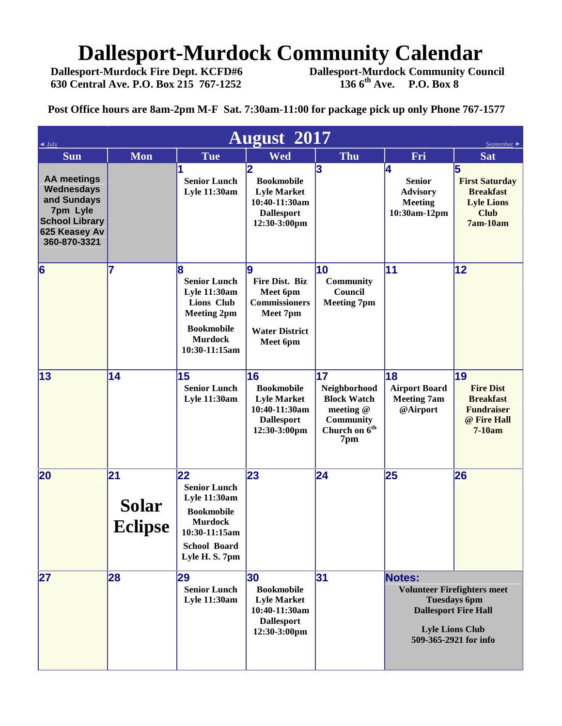# **Dallesport-Murdock Community Calendar**<br>Dallesport-Murdock Fire Dept. KCFD#6 Dallesport-Murdock Community Cou

**Dallesport-Murdock Fire Dept. KCFD#6 Dallesport-Murdock Community Council 630 Central Ave. P.O. Box 215 767-1252 136 6th Ave. P.O. Box 8**

**Post Office hours are 8am-2pm M-F Sat. 7:30am-11:00 for package pick up only Phone 767-1577**

| July                                                                                                                  | September                     |                                                                                                                                                   |                                                                                                          |                                                                                                        |                                                                          |                                                                                                                                             |
|-----------------------------------------------------------------------------------------------------------------------|-------------------------------|---------------------------------------------------------------------------------------------------------------------------------------------------|----------------------------------------------------------------------------------------------------------|--------------------------------------------------------------------------------------------------------|--------------------------------------------------------------------------|---------------------------------------------------------------------------------------------------------------------------------------------|
| Sun                                                                                                                   | <b>Mon</b>                    | <b>Tue</b>                                                                                                                                        | <b>August</b> 2017<br><b>Wed</b>                                                                         | Thu                                                                                                    | Fri                                                                      | <b>Sat</b>                                                                                                                                  |
| <b>AA</b> meetings<br>Wednesdays<br>and Sundays<br>7pm Lyle<br><b>School Library</b><br>625 Keasey Av<br>360-870-3321 |                               | <b>Senior Lunch</b><br><b>Lyle 11:30am</b>                                                                                                        | 2<br><b>Bookmobile</b><br><b>Lyle Market</b><br>10:40-11:30am<br><b>Dallesport</b><br>12:30-3:00pm       | 3                                                                                                      | 14<br><b>Senior</b><br><b>Advisory</b><br><b>Meeting</b><br>10:30am-12pm | 5<br><b>First Saturday</b><br><b>Breakfast</b><br><b>Lyle Lions</b><br><b>Club</b><br>7am-10am                                              |
| $\vert 6 \vert$                                                                                                       | 7                             | 8<br><b>Senior Lunch</b><br><b>Lyle 11:30am</b><br>Lions Club<br><b>Meeting 2pm</b><br><b>Bookmobile</b><br><b>Murdock</b><br>10:30-11:15am       | 9<br>Fire Dist. Biz<br>Meet 6pm<br><b>Commissioners</b><br>Meet 7pm<br><b>Water District</b><br>Meet 6pm | 10<br><b>Community</b><br>Council<br><b>Meeting 7pm</b>                                                | 11                                                                       | 12                                                                                                                                          |
| $\vert 13 \vert$                                                                                                      | 14                            | 15<br><b>Senior Lunch</b><br><b>Lyle 11:30am</b>                                                                                                  | 16<br><b>Bookmobile</b><br><b>Lyle Market</b><br>10:40-11:30am<br><b>Dallesport</b><br>12:30-3:00pm      | 17<br>Neighborhood<br><b>Block Watch</b><br>meeting @<br>Community<br>Church on 6 <sup>th</sup><br>7pm | 18<br><b>Airport Board</b><br><b>Meeting 7am</b><br>@Airport             | 19<br><b>Fire Dist</b><br><b>Breakfast</b><br><b>Fundraiser</b><br>@ Fire Hall<br>$7-10am$                                                  |
| 20                                                                                                                    | 21<br>Solar<br><b>Eclipse</b> | 22<br><b>Senior Lunch</b><br><b>Lyle 11:30am</b><br><b>Bookmobile</b><br><b>Murdock</b><br>10:30-11:15am<br><b>School Board</b><br>Lyle H. S. 7pm | 23                                                                                                       | 24                                                                                                     | 25                                                                       | 26                                                                                                                                          |
| 27                                                                                                                    | 28                            | 29<br><b>Senior Lunch</b><br><b>Lyle 11:30am</b>                                                                                                  | 30<br><b>Bookmobile</b><br><b>Lyle Market</b><br>10:40-11:30am<br><b>Dallesport</b><br>12:30-3:00pm      | 31                                                                                                     | Notes:                                                                   | <b>Volunteer Firefighters meet</b><br><b>Tuesdays 6pm</b><br><b>Dallesport Fire Hall</b><br><b>Lyle Lions Club</b><br>509-365-2921 for info |